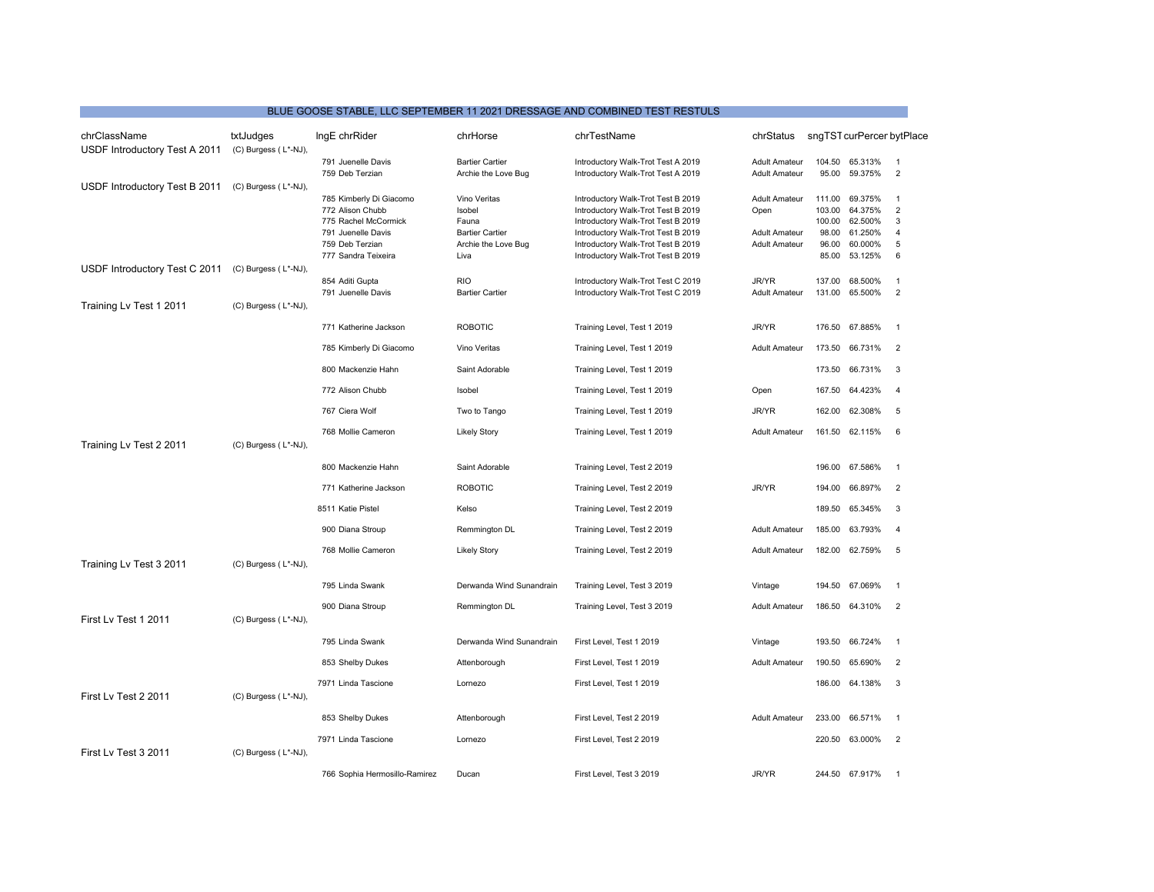## BLUE GOOSE STABLE, LLC SEPTEMBER 11 2021 DRESSAGE AND COMBINED TEST RESTULS

| chrClassName<br>USDF Introductory Test A 2011 | txtJudges<br>(C) Burgess (L*-NJ), | IngE chrRider                                                                                                                       | chrHorse                                                                                 | chrTestName                                                                                                                                                                                                                      | chrStatus                                                                    |                                                       | sngTST curPercer bytPlace                                      |                                                                   |
|-----------------------------------------------|-----------------------------------|-------------------------------------------------------------------------------------------------------------------------------------|------------------------------------------------------------------------------------------|----------------------------------------------------------------------------------------------------------------------------------------------------------------------------------------------------------------------------------|------------------------------------------------------------------------------|-------------------------------------------------------|----------------------------------------------------------------|-------------------------------------------------------------------|
|                                               |                                   | 791 Juenelle Davis<br>759 Deb Terzian                                                                                               | <b>Bartier Cartier</b><br>Archie the Love Bug                                            | Introductory Walk-Trot Test A 2019<br>Introductory Walk-Trot Test A 2019                                                                                                                                                         | <b>Adult Amateur</b><br><b>Adult Amateur</b>                                 | 104.50<br>95.00                                       | 65.313%<br>59.375%                                             | $\overline{1}$<br>$\overline{2}$                                  |
| USDF Introductory Test B 2011                 | (C) Burgess (L*-NJ),              | 785 Kimberly Di Giacomo<br>772 Alison Chubb<br>775 Rachel McCormick<br>791 Juenelle Davis<br>759 Deb Terzian<br>777 Sandra Teixeira | Vino Veritas<br>Isobel<br>Fauna<br><b>Bartier Cartier</b><br>Archie the Love Bug<br>Liva | Introductory Walk-Trot Test B 2019<br>Introductory Walk-Trot Test B 2019<br>Introductory Walk-Trot Test B 2019<br>Introductory Walk-Trot Test B 2019<br>Introductory Walk-Trot Test B 2019<br>Introductory Walk-Trot Test B 2019 | <b>Adult Amateur</b><br>Open<br><b>Adult Amateur</b><br><b>Adult Amateur</b> | 111.00<br>103.00<br>100.00<br>98.00<br>96.00<br>85.00 | 69.375%<br>64.375%<br>62.500%<br>61.250%<br>60.000%<br>53.125% | $\overline{1}$<br>$\overline{2}$<br>3<br>$\overline{4}$<br>5<br>6 |
| USDF Introductory Test C 2011                 | (C) Burgess (L*-NJ),              | 854 Aditi Gupta                                                                                                                     | <b>RIO</b>                                                                               | Introductory Walk-Trot Test C 2019                                                                                                                                                                                               | JR/YR                                                                        | 137.00                                                | 68.500%                                                        | $\overline{1}$                                                    |
| Training Lv Test 1 2011                       | (C) Burgess (L*-NJ),              | 791 Juenelle Davis                                                                                                                  | <b>Bartier Cartier</b>                                                                   | Introductory Walk-Trot Test C 2019                                                                                                                                                                                               | <b>Adult Amateur</b>                                                         | 131.00                                                | 65.500%                                                        | $\overline{2}$                                                    |
|                                               |                                   | 771 Katherine Jackson                                                                                                               | <b>ROBOTIC</b>                                                                           | Training Level, Test 1 2019                                                                                                                                                                                                      | JR/YR                                                                        | 176.50                                                | 67.885%                                                        | $\overline{1}$                                                    |
|                                               |                                   | 785 Kimberly Di Giacomo                                                                                                             | Vino Veritas                                                                             | Training Level, Test 1 2019                                                                                                                                                                                                      | <b>Adult Amateur</b>                                                         |                                                       | 173.50 66.731%                                                 | 2                                                                 |
|                                               |                                   | 800 Mackenzie Hahn                                                                                                                  | Saint Adorable                                                                           | Training Level, Test 1 2019                                                                                                                                                                                                      |                                                                              |                                                       | 173.50 66.731%                                                 | 3                                                                 |
|                                               |                                   | 772 Alison Chubb                                                                                                                    | Isobel                                                                                   | Training Level, Test 1 2019                                                                                                                                                                                                      | Open                                                                         | 167.50                                                | 64.423%                                                        | $\overline{4}$                                                    |
|                                               |                                   | 767 Ciera Wolf                                                                                                                      | Two to Tango                                                                             | Training Level, Test 1 2019                                                                                                                                                                                                      | JR/YR                                                                        | 162.00                                                | 62.308%                                                        | 5                                                                 |
| Training Lv Test 2 2011                       | (C) Burgess (L*-NJ),              | 768 Mollie Cameron                                                                                                                  | <b>Likely Story</b>                                                                      | Training Level, Test 1 2019                                                                                                                                                                                                      | <b>Adult Amateur</b>                                                         |                                                       | 161.50 62.115%                                                 | 6                                                                 |
|                                               |                                   | 800 Mackenzie Hahn                                                                                                                  | Saint Adorable                                                                           | Training Level, Test 2 2019                                                                                                                                                                                                      |                                                                              | 196.00                                                | 67.586%                                                        | $\overline{1}$                                                    |
|                                               |                                   | 771 Katherine Jackson                                                                                                               | <b>ROBOTIC</b>                                                                           | Training Level, Test 2 2019                                                                                                                                                                                                      | JR/YR                                                                        | 194.00                                                | 66.897%                                                        | $\overline{2}$                                                    |
|                                               |                                   | 8511 Katie Pistel                                                                                                                   | Kelso                                                                                    | Training Level, Test 2 2019                                                                                                                                                                                                      |                                                                              | 189.50                                                | 65.345%                                                        | 3                                                                 |
|                                               |                                   | 900 Diana Stroup                                                                                                                    | Remmington DL                                                                            | Training Level, Test 2 2019                                                                                                                                                                                                      | <b>Adult Amateur</b>                                                         | 185.00                                                | 63.793%                                                        | $\overline{4}$                                                    |
| Training Lv Test 3 2011                       | (C) Burgess (L*-NJ),              | 768 Mollie Cameron                                                                                                                  | <b>Likely Story</b>                                                                      | Training Level, Test 2 2019                                                                                                                                                                                                      | <b>Adult Amateur</b>                                                         |                                                       | 182.00 62.759%                                                 | 5                                                                 |
|                                               |                                   | 795 Linda Swank                                                                                                                     | Derwanda Wind Sunandrain                                                                 | Training Level, Test 3 2019                                                                                                                                                                                                      | Vintage                                                                      | 194.50                                                | 67.069%                                                        | $\overline{1}$                                                    |
| First Lv Test 1 2011                          | (C) Burgess (L*-NJ),              | 900 Diana Stroup                                                                                                                    | Remmington DL                                                                            | Training Level, Test 3 2019                                                                                                                                                                                                      | <b>Adult Amateur</b>                                                         |                                                       | 186.50 64.310%                                                 | $\overline{2}$                                                    |
|                                               |                                   | 795 Linda Swank                                                                                                                     | Derwanda Wind Sunandrain                                                                 | First Level, Test 1 2019                                                                                                                                                                                                         | Vintage                                                                      | 193.50                                                | 66.724%                                                        | $\overline{1}$                                                    |
|                                               |                                   | 853 Shelby Dukes                                                                                                                    | Attenborough                                                                             | First Level, Test 1 2019                                                                                                                                                                                                         | <b>Adult Amateur</b>                                                         | 190.50                                                | 65.690%                                                        | $\overline{2}$                                                    |
| First Lv Test 2 2011                          | (C) Burgess (L*-NJ),              | 7971 Linda Tascione                                                                                                                 | Lornezo                                                                                  | First Level, Test 1 2019                                                                                                                                                                                                         |                                                                              | 186.00                                                | 64.138%                                                        | 3                                                                 |
|                                               |                                   | 853 Shelby Dukes                                                                                                                    | Attenborough                                                                             | First Level, Test 2 2019                                                                                                                                                                                                         | <b>Adult Amateur</b>                                                         | 233.00                                                | 66.571%                                                        | $\overline{1}$                                                    |
| First Lv Test 3 2011                          | (C) Burgess (L*-NJ),              | 7971 Linda Tascione                                                                                                                 | Lornezo                                                                                  | First Level, Test 2 2019                                                                                                                                                                                                         |                                                                              | 220.50                                                | 63.000%                                                        | $\overline{2}$                                                    |
|                                               |                                   | 766 Sophia Hermosillo-Ramirez                                                                                                       | Ducan                                                                                    | First Level. Test 3 2019                                                                                                                                                                                                         | JR/YR                                                                        |                                                       | 244.50 67.917%                                                 | $\overline{1}$                                                    |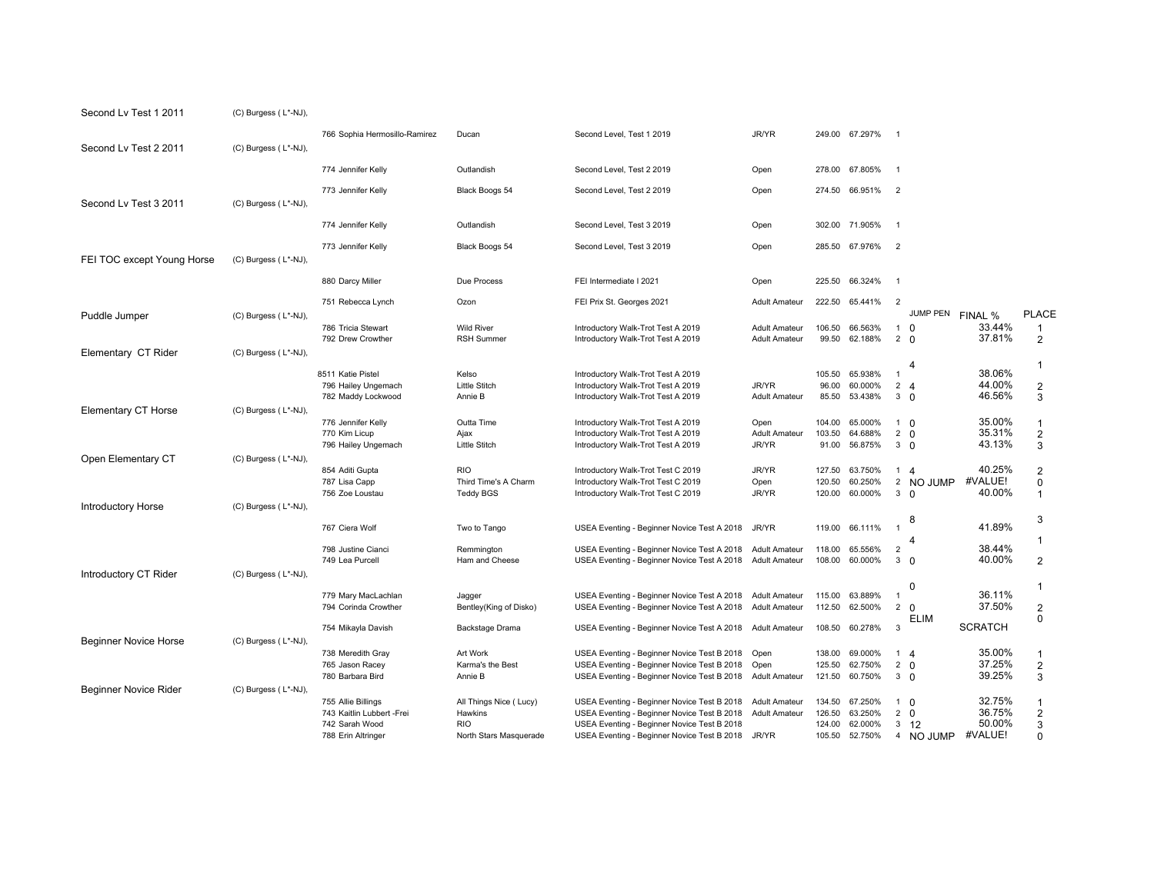| Second Lv Test 1 2011        | (C) Burgess (L*-NJ), |                                                                   |                                                        |                                                                                                                                           |                                              |                            |                               |                                                 |                             |                                     |
|------------------------------|----------------------|-------------------------------------------------------------------|--------------------------------------------------------|-------------------------------------------------------------------------------------------------------------------------------------------|----------------------------------------------|----------------------------|-------------------------------|-------------------------------------------------|-----------------------------|-------------------------------------|
| Second Lv Test 2 2011        | (C) Burgess (L*-NJ), | 766 Sophia Hermosillo-Ramirez                                     | Ducan                                                  | Second Level, Test 1 2019                                                                                                                 | JR/YR                                        |                            | 249.00 67.297%                | $\overline{1}$                                  |                             |                                     |
|                              |                      | 774 Jennifer Kelly                                                | Outlandish                                             | Second Level, Test 2 2019                                                                                                                 | Open                                         | 278.00                     | 67.805%                       | $\overline{1}$                                  |                             |                                     |
| Second Lv Test 3 2011        | (C) Burgess (L*-NJ), | 773 Jennifer Kelly                                                | Black Boogs 54                                         | Second Level, Test 2 2019                                                                                                                 | Open                                         |                            | 274.50 66.951%                | $\overline{2}$                                  |                             |                                     |
|                              |                      | 774 Jennifer Kelly                                                | Outlandish                                             | Second Level, Test 3 2019                                                                                                                 | Open                                         | 302.00                     | 71.905%                       | $\overline{1}$                                  |                             |                                     |
| FEI TOC except Young Horse   | (C) Burgess (L*-NJ), | 773 Jennifer Kelly                                                | Black Boogs 54                                         | Second Level, Test 3 2019                                                                                                                 | Open                                         |                            | 285.50 67.976%                | $\overline{2}$                                  |                             |                                     |
|                              |                      | 880 Darcy Miller                                                  | Due Process                                            | FEI Intermediate I 2021                                                                                                                   | Open                                         | 225.50                     | 66.324%                       | $\overline{1}$                                  |                             |                                     |
| Puddle Jumper                | (C) Burgess (L*-NJ), | 751 Rebecca Lynch                                                 | Ozon                                                   | FEI Prix St. Georges 2021                                                                                                                 | <b>Adult Amateur</b>                         | 222.50                     | 65.441%                       | $\overline{2}$<br>JUMP PEN                      | FINAL %                     | <b>PLACE</b>                        |
|                              |                      | 786 Tricia Stewart<br>792 Drew Crowther                           | <b>Wild River</b><br><b>RSH Summer</b>                 | Introductory Walk-Trot Test A 2019<br>Introductory Walk-Trot Test A 2019                                                                  | <b>Adult Amateur</b><br><b>Adult Amateur</b> | 106.50<br>99.50            | 66.563%<br>62.188%            | $1\quad \Omega$<br>$2 \quad 0$                  | 33.44%<br>37.81%            | $\mathbf{1}$<br>$\overline{2}$      |
| Elementary CT Rider          | (C) Burgess (L*-NJ), |                                                                   |                                                        |                                                                                                                                           |                                              |                            |                               | 4                                               |                             | 1                                   |
|                              |                      | 8511 Katie Pistel<br>796 Hailey Ungemach<br>782 Maddy Lockwood    | Kelso<br><b>Little Stitch</b><br>Annie B               | Introductory Walk-Trot Test A 2019<br>Introductory Walk-Trot Test A 2019<br>Introductory Walk-Trot Test A 2019                            | JR/YR<br><b>Adult Amateur</b>                | 105.50<br>96.00<br>85.50   | 65.938%<br>60.000%<br>53.438% | $\overline{1}$<br>$2 \quad 4$<br>3 <sub>0</sub> | 38.06%<br>44.00%<br>46.56%  | $\overline{2}$<br>3                 |
| <b>Elementary CT Horse</b>   | (C) Burgess (L*-NJ), | 776 Jennifer Kelly<br>770 Kim Licup                               | Outta Time<br>Ajax<br>Little Stitch                    | Introductory Walk-Trot Test A 2019<br>Introductory Walk-Trot Test A 2019                                                                  | Open<br><b>Adult Amateur</b><br>JR/YR        | 104.00<br>103.50<br>91.00  | 65.000%<br>64.688%            | $1\quad$ 0<br>$2 \quad 0$<br>3 <sub>0</sub>     | 35.00%<br>35.31%<br>43.13%  | $\mathbf{1}$<br>$\overline{2}$      |
| Open Elementary CT           | (C) Burgess (L*-NJ), | 796 Hailey Ungemach                                               |                                                        | Introductory Walk-Trot Test A 2019                                                                                                        |                                              |                            | 56.875%                       |                                                 |                             | 3                                   |
|                              |                      | 854 Aditi Gupta<br>787 Lisa Capp<br>756 Zoe Loustau               | <b>RIO</b><br>Third Time's A Charm<br><b>Teddy BGS</b> | Introductory Walk-Trot Test C 2019<br>Introductory Walk-Trot Test C 2019<br>Introductory Walk-Trot Test C 2019                            | JR/YR<br>Open<br>JR/YR                       | 127.50<br>120.50<br>120.00 | 63.750%<br>60.250%<br>60.000% | $1\quad 4$<br>2 NO JUMP<br>3 <sub>0</sub>       | 40.25%<br>#VALUE!<br>40.00% | $\overline{c}$<br>0<br>$\mathbf{1}$ |
| <b>Introductory Horse</b>    | (C) Burgess (L*-NJ), |                                                                   |                                                        |                                                                                                                                           |                                              |                            |                               | 8<br>$\overline{1}$                             | 41.89%                      | 3                                   |
|                              |                      | 767 Ciera Wolf<br>798 Justine Cianci                              | Two to Tango<br>Remmington                             | USEA Eventing - Beginner Novice Test A 2018<br>USEA Eventing - Beginner Novice Test A 2018                                                | JR/YR<br><b>Adult Amateur</b>                | 119.00<br>118.00           | 66.111%<br>65.556%            | $\overline{2}$                                  | 38.44%                      | 1                                   |
| Introductory CT Rider        | (C) Burgess (L*-NJ), | 749 Lea Purcell                                                   | Ham and Cheese                                         | USEA Eventing - Beginner Novice Test A 2018                                                                                               | <b>Adult Amateur</b>                         | 108.00                     | 60.000%                       | 3 <sub>0</sub>                                  | 40.00%                      | 2                                   |
|                              |                      | 779 Mary MacLachlan<br>794 Corinda Crowther                       | Jagger<br>Bentley(King of Disko)                       | USEA Eventing - Beginner Novice Test A 2018<br>USEA Eventing - Beginner Novice Test A 2018                                                | <b>Adult Amateur</b><br><b>Adult Amateur</b> | 115.00<br>112.50           | 63.889%<br>62.500%            | <sup>0</sup><br>$\overline{1}$<br>$2 \Omega$    | 36.11%<br>37.50%            | 1<br>$\overline{2}$                 |
|                              |                      | 754 Mikayla Davish                                                | Backstage Drama                                        | USEA Eventing - Beginner Novice Test A 2018 Adult Amateur                                                                                 |                                              | 108.50                     | 60.278%                       | <b>ELIM</b><br>3                                | <b>SCRATCH</b>              | $\mathbf 0$                         |
| <b>Beginner Novice Horse</b> | (C) Burgess (L*-NJ), | 738 Meredith Gray<br>765 Jason Racey<br>780 Barbara Bird          | Art Work<br>Karma's the Best<br>Annie B                | USEA Eventing - Beginner Novice Test B 2018<br>USEA Eventing - Beginner Novice Test B 2018<br>USEA Eventing - Beginner Novice Test B 2018 | Open<br>Open<br><b>Adult Amateur</b>         | 138.00<br>125.50<br>121.50 | 69.000%<br>62.750%<br>60.750% | $1\quad 4$<br>$2 \quad 0$<br>3 <sub>0</sub>     | 35.00%<br>37.25%<br>39.25%  | $\mathbf{1}$<br>$\sqrt{2}$<br>3     |
| <b>Beginner Novice Rider</b> | (C) Burgess (L*-NJ), | 755 Allie Billings<br>743 Kaitlin Lubbert -Frei<br>742 Sarah Wood | All Things Nice (Lucy)<br>Hawkins<br><b>RIO</b>        | USEA Eventing - Beginner Novice Test B 2018<br>USEA Eventing - Beginner Novice Test B 2018<br>USEA Eventing - Beginner Novice Test B 2018 | <b>Adult Amateur</b><br><b>Adult Amateur</b> | 134.50<br>126.50<br>124.00 | 67.250%<br>63.250%<br>62.000% | $1 \Omega$<br>$2 \quad 0$<br>$3 \t12$           | 32.75%<br>36.75%<br>50.00%  | $\mathbf{1}$<br>$\sqrt{2}$<br>3     |
|                              |                      | 788 Erin Altringer                                                | North Stars Masquerade                                 | USEA Eventing - Beginner Novice Test B 2018                                                                                               | JR/YR                                        | 105.50                     | 52.750%                       | 4 NO JUMP                                       | #VALUE!                     | $\Omega$                            |